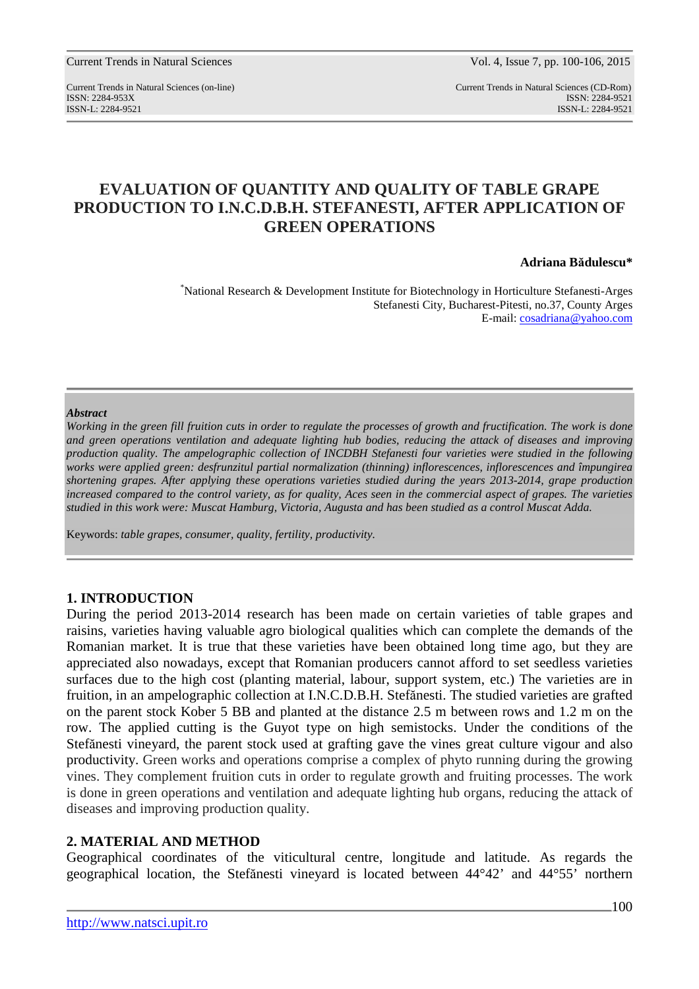Current Trends in Natural Sciences Vol. 4, Issue 7, pp. 100-106, 2015

Current Trends in Natural Sciences (on-line) Current Trends in Natural Sciences (CD-Rom) ISSN: 2284-953XISSN: 2284-9521 ISSN-L: 2284-9521 ISSN-L: 2284-9521

# **EVALUATION OF QUANTITY AND QUALITY OF TABLE GRAPE PRODUCTION TO I.N.C.D.B.H. STEFANESTI, AFTER APPLICATION OF GREEN OPERATIONS**

#### **Adriana Bădulescu\***

\*National Research & Development Institute for Biotechnology in Horticulture Stefanesti-Arges Stefanesti City, Bucharest-Pitesti, no.37, County Arges E-mail: cosadriana@yahoo.com

#### *Abstract*

*Working in the green fill fruition cuts in order to regulate the processes of growth and fructification. The work is done and green operations ventilation and adequate lighting hub bodies, reducing the attack of diseases and improving production quality. The ampelographic collection of INCDBH Stefanesti four varieties were studied in the following works were applied green: desfrunzitul partial normalization (thinning) inflorescences, inflorescences and împungirea shortening grapes. After applying these operations varieties studied during the years 2013-2014, grape production increased compared to the control variety, as for quality, Aces seen in the commercial aspect of grapes. The varieties studied in this work were: Muscat Hamburg, Victoria, Augusta and has been studied as a control Muscat Adda.* 

Keywords: *table grapes, consumer, quality, fertility, productivity.*

## **1. INTRODUCTION**

During the period 2013-2014 research has been made on certain varieties of table grapes and raisins, varieties having valuable agro biological qualities which can complete the demands of the Romanian market. It is true that these varieties have been obtained long time ago, but they are appreciated also nowadays, except that Romanian producers cannot afford to set seedless varieties surfaces due to the high cost (planting material, labour, support system, etc.) The varieties are in fruition, in an ampelographic collection at I.N.C.D.B.H. Stefănesti. The studied varieties are grafted on the parent stock Kober 5 BB and planted at the distance 2.5 m between rows and 1.2 m on the row. The applied cutting is the Guyot type on high semistocks. Under the conditions of the Stefănesti vineyard, the parent stock used at grafting gave the vines great culture vigour and also productivity. Green works and operations comprise a complex of phyto running during the growing vines. They complement fruition cuts in order to regulate growth and fruiting processes. The work is done in green operations and ventilation and adequate lighting hub organs, reducing the attack of diseases and improving production quality.

## **2. MATERIAL AND METHOD**

Geographical coordinates of the viticultural centre, longitude and latitude. As regards the geographical location, the Stefănesti vineyard is located between 44°42' and 44°55' northern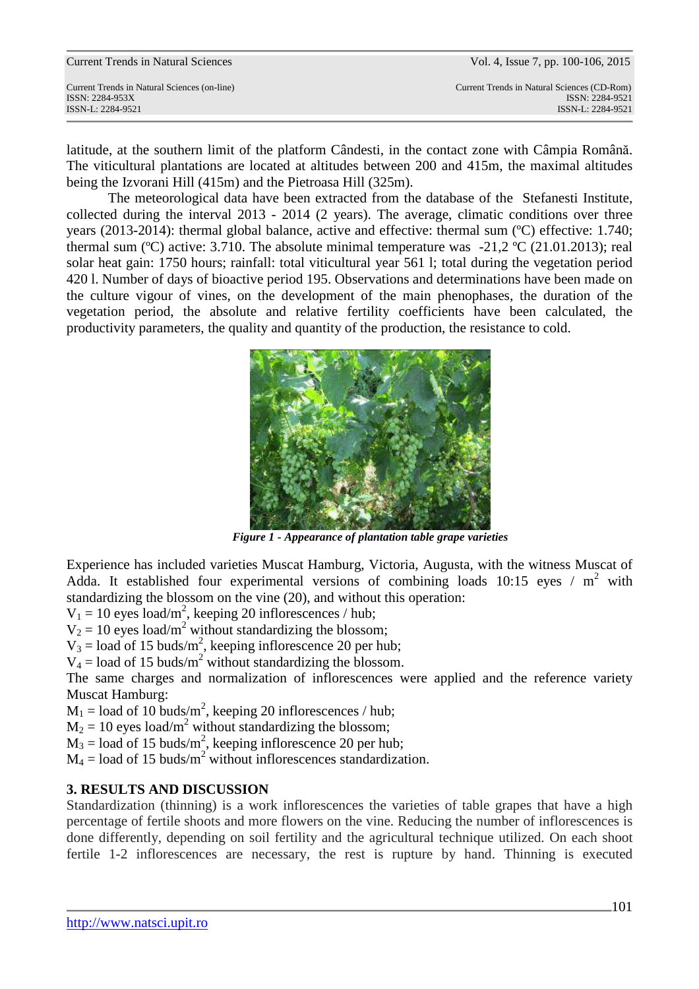|  | <b>Current Trends in Natural Sciences</b> |
|--|-------------------------------------------|
|--|-------------------------------------------|

ISSN: 2284-953XISSN: 2284-9521

Current Trends in Natural Sciences (on-line) Current Trends in Natural Sciences (CD-Rom) ISSN-L: 2284-9521 ISSN-L: 2284-9521

latitude, at the southern limit of the platform Cândesti, in the contact zone with Câmpia Română. The viticultural plantations are located at altitudes between 200 and 415m, the maximal altitudes being the Izvorani Hill (415m) and the Pietroasa Hill (325m).

The meteorological data have been extracted from the database of the Stefanesti Institute, collected during the interval 2013 - 2014 (2 years). The average, climatic conditions over three years (2013-2014): thermal global balance, active and effective: thermal sum (ºC) effective: 1.740; thermal sum ( $^{\circ}$ C) active: 3.710. The absolute minimal temperature was -21,2  $^{\circ}$ C (21.01.2013); real solar heat gain: 1750 hours; rainfall: total viticultural year 561 l; total during the vegetation period 420 l. Number of days of bioactive period 195. Observations and determinations have been made on the culture vigour of vines, on the development of the main phenophases, the duration of the vegetation period, the absolute and relative fertility coefficients have been calculated, the productivity parameters, the quality and quantity of the production, the resistance to cold.



*Figure 1 - Appearance of plantation table grape varieties* 

Experience has included varieties Muscat Hamburg, Victoria, Augusta, with the witness Muscat of Adda. It established four experimental versions of combining loads 10:15 eyes /  $m^2$  with standardizing the blossom on the vine (20), and without this operation:

 $V_1 = 10$  eyes load/m<sup>2</sup>, keeping 20 inflorescences / hub;

 $V_2 = 10$  eyes load/m<sup>2</sup> without standardizing the blossom;

 $V_3$  = load of 15 buds/m<sup>2</sup>, keeping inflorescence 20 per hub;

 $V_4$  = load of 15 buds/m<sup>2</sup> without standardizing the blossom.

The same charges and normalization of inflorescences were applied and the reference variety Muscat Hamburg:

 $M_1$  = load of 10 buds/m<sup>2</sup>, keeping 20 inflorescences / hub;

 $M_2 = 10$  eyes load/m<sup>2</sup> without standardizing the blossom;

 $M_3$  = load of 15 buds/m<sup>2</sup>, keeping inflorescence 20 per hub;

 $M_4$  = load of 15 buds/m<sup>2</sup> without inflorescences standardization.

# **3. RESULTS AND DISCUSSION**

Standardization (thinning) is a work inflorescences the varieties of table grapes that have a high percentage of fertile shoots and more flowers on the vine. Reducing the number of inflorescences is done differently, depending on soil fertility and the agricultural technique utilized. On each shoot fertile 1-2 inflorescences are necessary, the rest is rupture by hand. Thinning is executed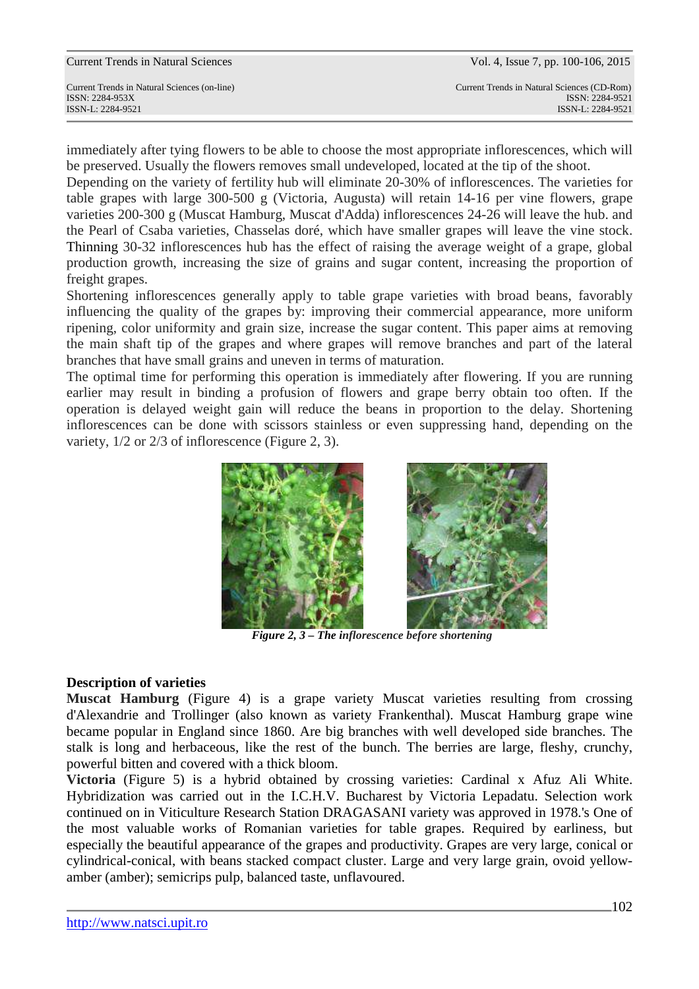immediately after tying flowers to be able to choose the most appropriate inflorescences, which will be preserved. Usually the flowers removes small undeveloped, located at the tip of the shoot.

Depending on the variety of fertility hub will eliminate 20-30% of inflorescences. The varieties for table grapes with large 300-500 g (Victoria, Augusta) will retain 14-16 per vine flowers, grape varieties 200-300 g (Muscat Hamburg, Muscat d'Adda) inflorescences 24-26 will leave the hub. and the Pearl of Csaba varieties, Chasselas doré, which have smaller grapes will leave the vine stock. Thinning 30-32 inflorescences hub has the effect of raising the average weight of a grape, global production growth, increasing the size of grains and sugar content, increasing the proportion of freight grapes.

Shortening inflorescences generally apply to table grape varieties with broad beans, favorably influencing the quality of the grapes by: improving their commercial appearance, more uniform ripening, color uniformity and grain size, increase the sugar content. This paper aims at removing the main shaft tip of the grapes and where grapes will remove branches and part of the lateral branches that have small grains and uneven in terms of maturation.

The optimal time for performing this operation is immediately after flowering. If you are running earlier may result in binding a profusion of flowers and grape berry obtain too often. If the operation is delayed weight gain will reduce the beans in proportion to the delay. Shortening inflorescences can be done with scissors stainless or even suppressing hand, depending on the variety, 1/2 or 2/3 of inflorescence (Figure 2, 3).



 *Figure 2, 3 – The inflorescence before shortening* 

## **Description of varieties**

**Muscat Hamburg** (Figure 4) is a grape variety Muscat varieties resulting from crossing d'Alexandrie and Trollinger (also known as variety Frankenthal). Muscat Hamburg grape wine became popular in England since 1860. Are big branches with well developed side branches. The stalk is long and herbaceous, like the rest of the bunch. The berries are large, fleshy, crunchy, powerful bitten and covered with a thick bloom.

**Victoria** (Figure 5) is a hybrid obtained by crossing varieties: Cardinal x Afuz Ali White. Hybridization was carried out in the I.C.H.V. Bucharest by Victoria Lepadatu. Selection work continued on in Viticulture Research Station DRAGASANI variety was approved in 1978.'s One of the most valuable works of Romanian varieties for table grapes. Required by earliness, but especially the beautiful appearance of the grapes and productivity. Grapes are very large, conical or cylindrical-conical, with beans stacked compact cluster. Large and very large grain, ovoid yellowamber (amber); semicrips pulp, balanced taste, unflavoured.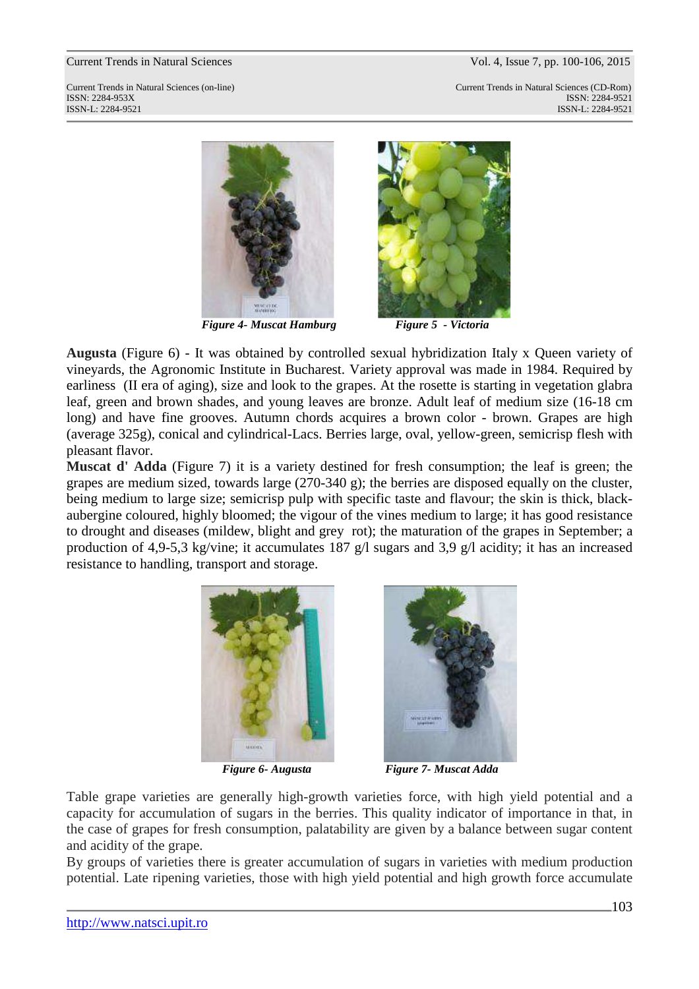#### Current Trends in Natural Sciences Vol. 4, Issue 7, pp. 100-106, 2015

Current Trends in Natural Sciences (on-line) Current Trends in Natural Sciences (CD-Rom) ISSN: 2284-953XISSN: 2284-9521 ISSN-L: 2284-9521 ISSN-L: 2284-9521



*Figure 4- Muscat Hamburg Figure 5 - Victoria* 



**Augusta** (Figure 6) - It was obtained by controlled sexual hybridization Italy x Queen variety of vineyards, the Agronomic Institute in Bucharest. Variety approval was made in 1984. Required by earliness (II era of aging), size and look to the grapes. At the rosette is starting in vegetation glabra leaf, green and brown shades, and young leaves are bronze. Adult leaf of medium size (16-18 cm long) and have fine grooves. Autumn chords acquires a brown color - brown. Grapes are high (average 325g), conical and cylindrical-Lacs. Berries large, oval, yellow-green, semicrisp flesh with pleasant flavor.

**Muscat d' Adda** (Figure 7) it is a variety destined for fresh consumption; the leaf is green; the grapes are medium sized, towards large (270-340 g); the berries are disposed equally on the cluster, being medium to large size; semicrisp pulp with specific taste and flavour; the skin is thick, blackaubergine coloured, highly bloomed; the vigour of the vines medium to large; it has good resistance to drought and diseases (mildew, blight and grey rot); the maturation of the grapes in September; a production of 4,9-5,3 kg/vine; it accumulates 187 g/l sugars and 3,9 g/l acidity; it has an increased resistance to handling, transport and storage.





 *Figure 6- Augusta Figure 7- Muscat Adda*

Table grape varieties are generally high-growth varieties force, with high yield potential and a capacity for accumulation of sugars in the berries. This quality indicator of importance in that, in the case of grapes for fresh consumption, palatability are given by a balance between sugar content and acidity of the grape.

By groups of varieties there is greater accumulation of sugars in varieties with medium production potential. Late ripening varieties, those with high yield potential and high growth force accumulate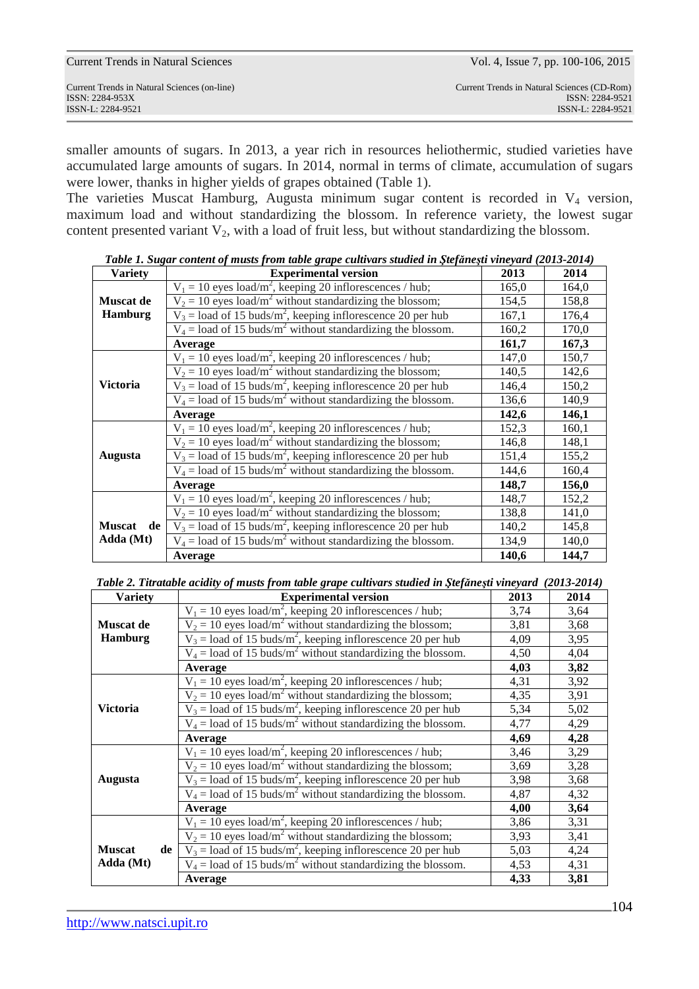| Current Trends in Natural Sciences (on-line)<br>ISSN: 2284-953X | Current Trends in Natural Sciences | Vol. 4, Issue 7, pp. 100-106, 2015                                                  |
|-----------------------------------------------------------------|------------------------------------|-------------------------------------------------------------------------------------|
|                                                                 | ISSN-L: 2284-9521                  | Current Trends in Natural Sciences (CD-Rom)<br>ISSN: 2284-9521<br>ISSN-L: 2284-9521 |

smaller amounts of sugars. In 2013, a year rich in resources heliothermic, studied varieties have accumulated large amounts of sugars. In 2014, normal in terms of climate, accumulation of sugars were lower, thanks in higher yields of grapes obtained (Table 1).

The varieties Muscat Hamburg, Augusta minimum sugar content is recorded in V<sub>4</sub> version, maximum load and without standardizing the blossom. In reference variety, the lowest sugar content presented variant  $V_2$ , with a load of fruit less, but without standardizing the blossom.

| <b>Variety</b>      | гили 1. эндиг сонисни ор тивня рготи шлис дрире синитигя зишиси ин энеринези тинетин (2019-2017)<br><b>Experimental version</b> | 2013  | 2014  |
|---------------------|---------------------------------------------------------------------------------------------------------------------------------|-------|-------|
|                     | $V_1 = 10$ eyes load/m <sup>2</sup> , keeping 20 inflorescences / hub;                                                          | 165,0 | 164,0 |
| <b>Muscat de</b>    | $V_2 = 10$ eyes load/m <sup>2</sup> without standardizing the blossom;                                                          | 154,5 | 158,8 |
| <b>Hamburg</b>      | $V_3 =$ load of 15 buds/m <sup>2</sup> , keeping inflorescence 20 per hub                                                       | 167,1 | 176,4 |
|                     | $V_4$ = load of 15 buds/m <sup>2</sup> without standardizing the blossom.                                                       | 160,2 | 170,0 |
|                     | Average                                                                                                                         | 161,7 | 167,3 |
|                     | $V_1 = 10$ eyes load/m <sup>2</sup> , keeping 20 inflorescences / hub;                                                          | 147,0 | 150,7 |
|                     | $V_2 = 10$ eyes load/m <sup>2</sup> without standardizing the blossom;                                                          | 140,5 | 142,6 |
| <b>Victoria</b>     | $V_3$ = load of 15 buds/m <sup>2</sup> , keeping inflorescence 20 per hub                                                       | 146,4 | 150,2 |
|                     | $V_4$ = load of 15 buds/m <sup>2</sup> without standardizing the blossom.                                                       | 136,6 | 140,9 |
|                     | Average                                                                                                                         | 142,6 | 146,1 |
|                     | $V_1 = 10$ eyes load/m <sup>2</sup> , keeping 20 inflorescences / hub;                                                          | 152,3 | 160,1 |
|                     | $V_2 = 10$ eyes load/m <sup>2</sup> without standardizing the blossom;                                                          | 146,8 | 148,1 |
| Augusta             | $V_3$ = load of 15 buds/m <sup>2</sup> , keeping inflorescence 20 per hub                                                       | 151,4 | 155,2 |
|                     | $V_4$ = load of 15 buds/m <sup>2</sup> without standardizing the blossom.                                                       | 144,6 | 160,4 |
|                     | Average                                                                                                                         | 148,7 | 156,0 |
|                     | $V_1 = 10$ eyes load/m <sup>2</sup> , keeping 20 inflorescences / hub;                                                          | 148,7 | 152,2 |
|                     | $V_2 = 10$ eyes load/m <sup>2</sup> without standardizing the blossom;                                                          | 138,8 | 141,0 |
| <b>Muscat</b><br>de | $V_3$ = load of 15 buds/m <sup>2</sup> , keeping inflorescence 20 per hub                                                       | 140,2 | 145,8 |
| Adda (Mt)           | $V_4$ = load of 15 buds/m <sup>2</sup> without standardizing the blossom.                                                       | 134,9 | 140,0 |
|                     | Average                                                                                                                         | 140,6 | 144,7 |

*Table 1. Sugar content of musts from table grape cultivars studied in Ştefăneşti vineyard (2013-2014)* 

*Table 2. Titratable acidity of musts from table grape cultivars studied in Ştefăneşti vineyard (2013-2014)* 

| <b>Variety</b>      | <b>Experimental version</b>                                               | 2013 | 2014 |  |
|---------------------|---------------------------------------------------------------------------|------|------|--|
|                     | $V_1 = 10$ eyes load/m <sup>2</sup> , keeping 20 inflorescences / hub;    | 3,74 | 3,64 |  |
| <b>Muscat de</b>    | $V_2 = 10$ eyes load/m <sup>2</sup> without standardizing the blossom;    | 3,81 | 3,68 |  |
| <b>Hamburg</b>      | $V_3 =$ load of 15 buds/m <sup>2</sup> , keeping inflorescence 20 per hub | 4,09 | 3,95 |  |
|                     | $V_4$ = load of 15 buds/m <sup>2</sup> without standardizing the blossom. | 4,50 | 4,04 |  |
|                     | Average                                                                   |      |      |  |
|                     | $V_1 = 10$ eyes load/m <sup>2</sup> , keeping 20 inflorescences / hub;    | 4,31 | 3,92 |  |
|                     | $V_2 = 10$ eyes load/m <sup>2</sup> without standardizing the blossom;    | 4,35 | 3,91 |  |
| Victoria            | $V_3$ = load of 15 buds/m <sup>2</sup> , keeping inflorescence 20 per hub | 5,34 | 5,02 |  |
|                     | $V_4$ = load of 15 buds/m <sup>2</sup> without standardizing the blossom. | 4,77 | 4,29 |  |
|                     | Average                                                                   | 4,69 | 4,28 |  |
|                     | $V_1 = 10$ eyes load/m <sup>2</sup> , keeping 20 inflorescences / hub;    | 3,46 | 3,29 |  |
|                     | $V_2 = 10$ eyes load/m <sup>2</sup> without standardizing the blossom;    | 3,69 | 3,28 |  |
| Augusta             | $V_3 =$ load of 15 buds/m <sup>2</sup> , keeping inflorescence 20 per hub | 3,98 | 3,68 |  |
|                     | $V_4$ = load of 15 buds/m <sup>2</sup> without standardizing the blossom. | 4,87 | 4,32 |  |
|                     | Average                                                                   | 4,00 | 3,64 |  |
|                     | $V_1 = 10$ eyes load/m <sup>2</sup> , keeping 20 inflorescences / hub;    | 3,86 | 3,31 |  |
|                     | $V_2 = 10$ eyes load/m <sup>2</sup> without standardizing the blossom;    | 3,93 | 3,41 |  |
| <b>Muscat</b><br>de | $V_3$ = load of 15 buds/m <sup>2</sup> , keeping inflorescence 20 per hub | 5,03 | 4,24 |  |
| Adda (Mt)           | $V_4$ = load of 15 buds/m <sup>2</sup> without standardizing the blossom. | 4,53 | 4,31 |  |
|                     | Average                                                                   | 4,33 | 3,81 |  |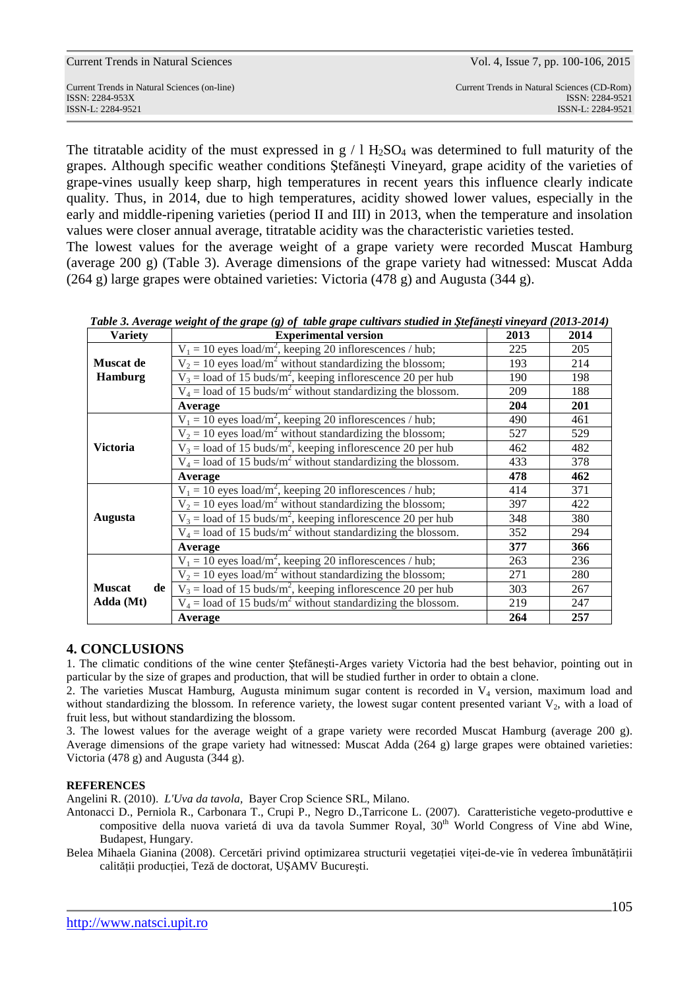|  |  |  |  | <b>Current Trends in Natural Sciences</b> |
|--|--|--|--|-------------------------------------------|
|--|--|--|--|-------------------------------------------|

Current Trends in Natural Sciences (on-line) Current Trends in Natural Sciences (CD-Rom) ISSN: 2284-953XISSN: 2284-9521

The titratable acidity of the must expressed in  $g / 1 H_2SO_4$  was determined to full maturity of the grapes. Although specific weather conditions Ştefăneşti Vineyard, grape acidity of the varieties of grape-vines usually keep sharp, high temperatures in recent years this influence clearly indicate quality. Thus, in 2014, due to high temperatures, acidity showed lower values, especially in the early and middle-ripening varieties (period II and III) in 2013, when the temperature and insolation values were closer annual average, titratable acidity was the characteristic varieties tested. The lowest values for the average weight of a grape variety were recorded Muscat Hamburg

(average 200 g) (Table 3). Average dimensions of the grape variety had witnessed: Muscat Adda (264 g) large grapes were obtained varieties: Victoria (478 g) and Augusta (344 g).

| <b>Variety</b>      | <b>Experimental version</b>                                               | 2013 | 2014 |
|---------------------|---------------------------------------------------------------------------|------|------|
|                     | $V_1 = 10$ eyes load/m <sup>2</sup> , keeping 20 inflorescences / hub;    | 225  | 205  |
| <b>Muscat de</b>    | $V_2 = 10$ eyes load/m <sup>2</sup> without standardizing the blossom;    | 193  | 214  |
| <b>Hamburg</b>      | $V_3$ = load of 15 buds/m <sup>2</sup> , keeping inflorescence 20 per hub | 190  | 198  |
|                     | $V_4$ = load of 15 buds/m <sup>2</sup> without standardizing the blossom. | 209  | 188  |
|                     | Average                                                                   | 204  | 201  |
|                     | $V_1 = 10$ eyes load/m <sup>2</sup> , keeping 20 inflorescences / hub;    | 490  | 461  |
|                     | $V_2 = 10$ eyes load/m <sup>2</sup> without standardizing the blossom;    | 527  | 529  |
| <b>Victoria</b>     | $V_3$ = load of 15 buds/m <sup>2</sup> , keeping inflorescence 20 per hub | 462  | 482  |
|                     | $V_4$ = load of 15 buds/m <sup>2</sup> without standardizing the blossom. | 433  | 378  |
|                     | Average                                                                   | 478  | 462  |
|                     | $V_1 = 10$ eyes load/m <sup>2</sup> , keeping 20 inflorescences / hub;    | 414  | 371  |
|                     | $V_2 = 10$ eyes load/m <sup>2</sup> without standardizing the blossom;    | 397  | 422  |
| Augusta             | $V_3$ = load of 15 buds/m <sup>2</sup> , keeping inflorescence 20 per hub | 348  | 380  |
|                     | $V_4$ = load of 15 buds/m <sup>2</sup> without standardizing the blossom. | 352  | 294  |
|                     | Average                                                                   | 377  | 366  |
|                     | $V_1 = 10$ eyes load/m <sup>2</sup> , keeping 20 inflorescences / hub;    | 263  | 236  |
|                     | $V_2 = 10$ eyes load/m <sup>2</sup> without standardizing the blossom;    | 271  | 280  |
| <b>Muscat</b><br>de | $V_3$ = load of 15 buds/m <sup>2</sup> , keeping inflorescence 20 per hub | 303  | 267  |
| Adda (Mt)           | $V_4$ = load of 15 buds/m <sup>2</sup> without standardizing the blossom. | 219  | 247  |
|                     | Average                                                                   | 264  | 257  |

*Table 3. Average weight of the grape (g) of table grape cultivars studied in <i>Ştefăneşti vineyard (2013-2014)* 

# **4. CONCLUSIONS**

1. The climatic conditions of the wine center Ştefăneşti-Arges variety Victoria had the best behavior, pointing out in particular by the size of grapes and production, that will be studied further in order to obtain a clone.

2. The varieties Muscat Hamburg, Augusta minimum sugar content is recorded in  $V<sub>4</sub>$  version, maximum load and without standardizing the blossom. In reference variety, the lowest sugar content presented variant  $V_2$ , with a load of fruit less, but without standardizing the blossom.

3. The lowest values for the average weight of a grape variety were recorded Muscat Hamburg (average 200 g). Average dimensions of the grape variety had witnessed: Muscat Adda (264 g) large grapes were obtained varieties: Victoria (478 g) and Augusta (344 g).

### **REFERENCES**

Angelini R. (2010). *L'Uva da tavola,* Bayer Crop Science SRL, Milano.

Antonacci D., Perniola R., Carbonara T., Crupi P., Negro D.,Tarricone L. (2007). Caratteristiche vegeto-produttive e compositive della nuova varietá di uva da tavola Summer Royal*,* 30th World Congress of Vine abd Wine, Budapest, Hungary.

Belea Mihaela Gianina (2008). Cercetări privind optimizarea structurii vegetaţiei viţei-de-vie în vederea îmbunătăţirii calităţii producţiei, Teză de doctorat, UŞAMV Bucureşti.